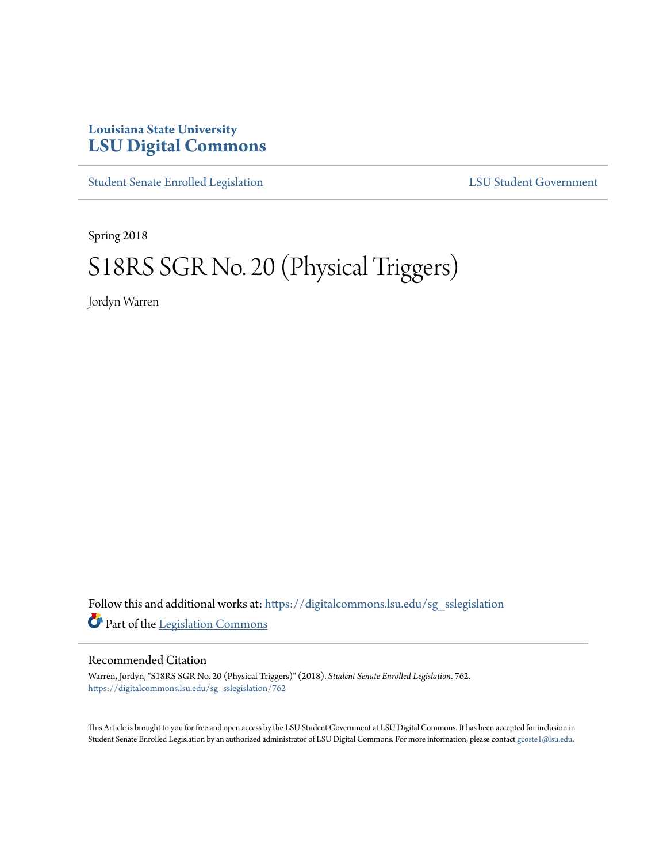## **Louisiana State University [LSU Digital Commons](https://digitalcommons.lsu.edu?utm_source=digitalcommons.lsu.edu%2Fsg_sslegislation%2F762&utm_medium=PDF&utm_campaign=PDFCoverPages)**

[Student Senate Enrolled Legislation](https://digitalcommons.lsu.edu/sg_sslegislation?utm_source=digitalcommons.lsu.edu%2Fsg_sslegislation%2F762&utm_medium=PDF&utm_campaign=PDFCoverPages) [LSU Student Government](https://digitalcommons.lsu.edu/sg?utm_source=digitalcommons.lsu.edu%2Fsg_sslegislation%2F762&utm_medium=PDF&utm_campaign=PDFCoverPages)

Spring 2018

# S18RS SGR No. 20 (Physical Triggers)

Jordyn Warren

Follow this and additional works at: [https://digitalcommons.lsu.edu/sg\\_sslegislation](https://digitalcommons.lsu.edu/sg_sslegislation?utm_source=digitalcommons.lsu.edu%2Fsg_sslegislation%2F762&utm_medium=PDF&utm_campaign=PDFCoverPages) Part of the [Legislation Commons](http://network.bepress.com/hgg/discipline/859?utm_source=digitalcommons.lsu.edu%2Fsg_sslegislation%2F762&utm_medium=PDF&utm_campaign=PDFCoverPages)

#### Recommended Citation

Warren, Jordyn, "S18RS SGR No. 20 (Physical Triggers)" (2018). *Student Senate Enrolled Legislation*. 762. [https://digitalcommons.lsu.edu/sg\\_sslegislation/762](https://digitalcommons.lsu.edu/sg_sslegislation/762?utm_source=digitalcommons.lsu.edu%2Fsg_sslegislation%2F762&utm_medium=PDF&utm_campaign=PDFCoverPages)

This Article is brought to you for free and open access by the LSU Student Government at LSU Digital Commons. It has been accepted for inclusion in Student Senate Enrolled Legislation by an authorized administrator of LSU Digital Commons. For more information, please contact [gcoste1@lsu.edu.](mailto:gcoste1@lsu.edu)